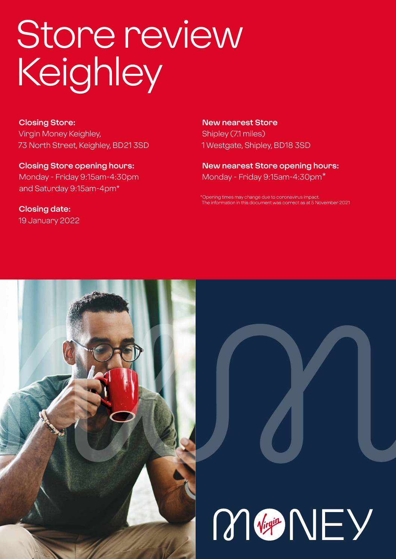# Store review **Keighley**

**Closing Store:** Virgin Money Keighley, 73 North Street, Keighley, BD21 3SD

**Closing Store opening hours:**  Monday - Friday 9:15am-4:30pm and Saturday 9:15am-4pm\*

**Closing date:**  19 January 2022

**New nearest Store** Shipley (7.1 miles) 1 Westgate, Shipley, BD18 3SD

**New nearest Store opening hours:** Monday - Friday 9:15am-4:30pm\*

ening times may change due to coronavirus impact The information in this document was correct as at 5 November 2021



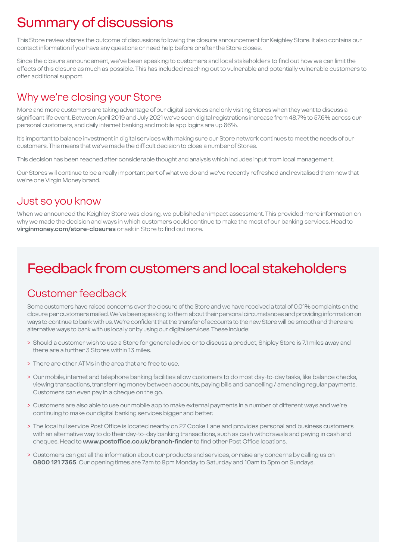# Summary of discussions

This Store review shares the outcome of discussions following the closure announcement for Keighley Store. It also contains our contact information if you have any questions or need help before or after the Store closes.

Since the closure announcement, we've been speaking to customers and local stakeholders to find out how we can limit the effects of this closure as much as possible. This has included reaching out to vulnerable and potentially vulnerable customers to offer additional support.

### Why we're closing your Store

More and more customers are taking advantage of our digital services and only visiting Stores when they want to discuss a significant life event. Between April 2019 and July 2021 we've seen digital registrations increase from 48.7% to 57.6% across our personal customers, and daily internet banking and mobile app logins are up 66%.

It's important to balance investment in digital services with making sure our Store network continues to meet the needs of our customers. This means that we've made the difficult decision to close a number of Stores.

This decision has been reached after considerable thought and analysis which includes input from local management.

Our Stores will continue to be a really important part of what we do and we've recently refreshed and revitalised them now that we're one Virgin Money brand.

### Just so you know

When we announced the Keighley Store was closing, we published an impact assessment. This provided more information on why we made the decision and ways in which customers could continue to make the most of our banking services. Head to **virginmoney.com/store-closures** or ask in Store to find out more.

# Feedback from customers and local stakeholders

### Customer feedback

Some customers have raised concerns over the closure of the Store and we have received a total of 0.01% complaints on the closure per customers mailed. We've been speaking to them about their personal circumstances and providing information on ways to continue to bank with us. We're confident that the transfer of accounts to the new Store will be smooth and there are alternative ways to bank with us locally or by using our digital services. These include:

- > Should a customer wish to use a Store for general advice or to discuss a product, Shipley Store is 7.1 miles away and there are a further 3 Stores within 13 miles.
- > There are other ATMs in the area that are free to use.
- > Our mobile, internet and telephone banking facilities allow customers to do most day-to-day tasks, like balance checks, viewing transactions, transferring money between accounts, paying bills and cancelling / amending regular payments. Customers can even pay in a cheque on the go.
- > Customers are also able to use our mobile app to make external payments in a number of different ways and we're continuing to make our digital banking services bigger and better.
- > The local full service Post Office is located nearby on 27 Cooke Lane and provides personal and business customers with an alternative way to do their day-to-day banking transactions, such as cash withdrawals and paying in cash and cheques. Head to **www.postoffice.co.uk/branch-finder** to find other Post Office locations.
- > Customers can get all the information about our products and services, or raise any concerns by calling us on **0800 121 7365**. Our opening times are 7am to 9pm Monday to Saturday and 10am to 5pm on Sundays.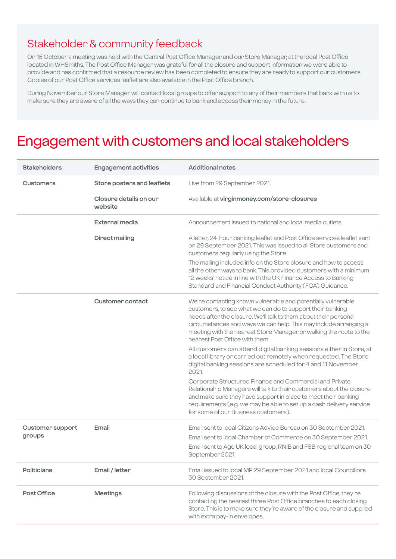### Stakeholder & community feedback

On 15 October a meeting was held with the Central Post Office Manager and our Store Manager, at the local Post Office located in WHSmiths. The Post Office Manager was grateful for all the closure and support information we were able to provide and has confirmed that a resource review has been completed to ensure they are ready to support our customers. Copies of our Post Office services leaflet are also available in the Post Office branch.

During November our Store Manager will contact local groups to offer support to any of their members that bank with us to make sure they are aware of all the ways they can continue to bank and access their money in the future.

### Engagement with customers and local stakeholders

| <b>Stakeholders</b>        | <b>Engagement activities</b>      | <b>Additional notes</b>                                                                                                                                                                                                                                                                                                                                                   |
|----------------------------|-----------------------------------|---------------------------------------------------------------------------------------------------------------------------------------------------------------------------------------------------------------------------------------------------------------------------------------------------------------------------------------------------------------------------|
| <b>Customers</b>           | Store posters and leaflets        | Live from 29 September 2021.                                                                                                                                                                                                                                                                                                                                              |
|                            | Closure details on our<br>website | Available at virginmoney.com/store-closures                                                                                                                                                                                                                                                                                                                               |
|                            | <b>External media</b>             | Announcement issued to national and local media outlets.                                                                                                                                                                                                                                                                                                                  |
|                            | <b>Direct mailing</b>             | A letter, 24-hour banking leaflet and Post Office services leaflet sent<br>on 29 September 2021. This was issued to all Store customers and<br>customers regularly using the Store.<br>The mailing included info on the Store closure and how to access                                                                                                                   |
|                            |                                   | all the other ways to bank. This provided customers with a minimum<br>12 weeks' notice in line with the UK Finance Access to Banking<br>Standard and Financial Conduct Authority (FCA) Guidance.                                                                                                                                                                          |
|                            | Customer contact                  | We're contacting known vulnerable and potentially vulnerable<br>customers, to see what we can do to support their banking<br>needs after the closure. We'll talk to them about their personal<br>circumstances and ways we can help. This may include arranging a<br>meeting with the nearest Store Manager or walking the route to the<br>nearest Post Office with them. |
|                            |                                   | All customers can attend digital banking sessions either in Store, at<br>a local library or carried out remotely when requested. The Store<br>digital banking sessions are scheduled for 4 and 11 November<br>2021.                                                                                                                                                       |
|                            |                                   | Corporate Structured Finance and Commercial and Private<br>Relationship Managers will talk to their customers about the closure<br>and make sure they have support in place to meet their banking<br>requirements (e.g. we may be able to set up a cash delivery service<br>for some of our Business customers).                                                          |
| Customer support<br>groups | Email                             | Email sent to local Citizens Advice Bureau on 30 September 2021.<br>Email sent to local Chamber of Commerce on 30 September 2021.<br>Email sent to Age UK local group, RNIB and FSB regional team on 30<br>September 2021.                                                                                                                                                |
| <b>Politicians</b>         | Email / letter                    | Email issued to local MP 29 September 2021 and local Councillors<br>30 September 2021.                                                                                                                                                                                                                                                                                    |
| Post Office                | <b>Meetings</b>                   | Following discussions of the closure with the Post Office, they're<br>contacting the nearest three Post Office branches to each closing<br>Store. This is to make sure they're aware of the closure and supplied<br>with extra pay-in envelopes.                                                                                                                          |